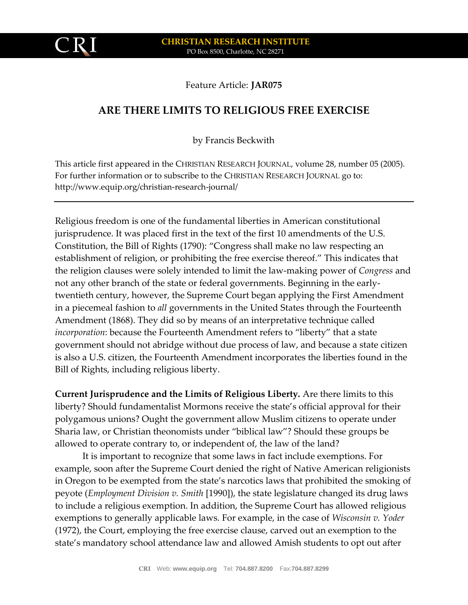$$
\mathsf{C}\mathsf{R}\mathsf{I}
$$

Feature Article: **JAR075**

## **ARE THERE LIMITS TO RELIGIOUS FREE EXERCISE**

by Francis Beckwith

This article first appeared in the CHRISTIAN RESEARCH JOURNAL, volume 28, number 05 (2005). For further information or to subscribe to the CHRISTIAN RESEARCH JOURNAL go to: http://www.equip.org/christian-research-journal/

Religious freedom is one of the fundamental liberties in American constitutional jurisprudence. It was placed first in the text of the first 10 amendments of the U.S. Constitution, the Bill of Rights (1790): "Congress shall make no law respecting an establishment of religion, or prohibiting the free exercise thereof." This indicates that the religion clauses were solely intended to limit the law‐making power of *Congress* and not any other branch of the state or federal governments. Beginning in the early‐ twentieth century, however, the Supreme Court began applying the First Amendment in a piecemeal fashion to *all* governments in the United States through the Fourteenth Amendment (1868). They did so by means of an interpretative technique called *incorporation*: because the Fourteenth Amendment refers to "liberty" that a state government should not abridge without due process of law, and because a state citizen is also a U.S. citizen, the Fourteenth Amendment incorporates the liberties found in the Bill of Rights, including religious liberty.

**Current Jurisprudence and the Limits of Religious Liberty.** Are there limits to this liberty? Should fundamentalist Mormons receive the state's official approval for their polygamous unions? Ought the government allow Muslim citizens to operate under Sharia law, or Christian theonomists under "biblical law"? Should these groups be allowed to operate contrary to, or independent of, the law of the land?

It is important to recognize that some laws in fact include exemptions. For example, soon after the Supreme Court denied the right of Native American religionists in Oregon to be exempted from the state's narcotics laws that prohibited the smoking of peyote (*Employment Division v. Smith* [1990]), the state legislature changed its drug laws to include a religious exemption. In addition, the Supreme Court has allowed religious exemptions to generally applicable laws. For example, in the case of *Wisconsin v. Yoder*  (1972), the Court, employing the free exercise clause, carved out an exemption to the state's mandatory school attendance law and allowed Amish students to opt out after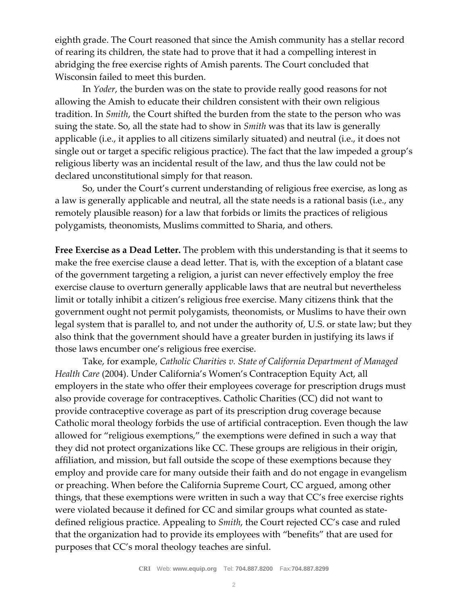eighth grade. The Court reasoned that since the Amish community has a stellar record of rearing its children, the state had to prove that it had a compelling interest in abridging the free exercise rights of Amish parents. The Court concluded that Wisconsin failed to meet this burden.

In *Yoder*, the burden was on the state to provide really good reasons for not allowing the Amish to educate their children consistent with their own religious tradition. In *Smith*, the Court shifted the burden from the state to the person who was suing the state. So, all the state had to show in *Smith* was that its law is generally applicable (i.e., it applies to all citizens similarly situated) and neutral (i.e., it does not single out or target a specific religious practice). The fact that the law impeded a group's religious liberty was an incidental result of the law, and thus the law could not be declared unconstitutional simply for that reason.

So, under the Court's current understanding of religious free exercise, as long as a law is generally applicable and neutral, all the state needs is a rational basis (i.e., any remotely plausible reason) for a law that forbids or limits the practices of religious polygamists, theonomists, Muslims committed to Sharia, and others.

**Free Exercise as a Dead Letter.** The problem with this understanding is that it seems to make the free exercise clause a dead letter. That is, with the exception of a blatant case of the government targeting a religion, a jurist can never effectively employ the free exercise clause to overturn generally applicable laws that are neutral but nevertheless limit or totally inhibit a citizen's religious free exercise. Many citizens think that the government ought not permit polygamists, theonomists, or Muslims to have their own legal system that is parallel to, and not under the authority of, U.S. or state law; but they also think that the government should have a greater burden in justifying its laws if those laws encumber one's religious free exercise.

Take, for example, *Catholic Charities v. State of California Department of Managed Health Care* (2004). Under California's Women's Contraception Equity Act, all employers in the state who offer their employees coverage for prescription drugs must also provide coverage for contraceptives. Catholic Charities (CC) did not want to provide contraceptive coverage as part of its prescription drug coverage because Catholic moral theology forbids the use of artificial contraception. Even though the law allowed for "religious exemptions," the exemptions were defined in such a way that they did not protect organizations like CC. These groups are religious in their origin, affiliation, and mission, but fall outside the scope of these exemptions because they employ and provide care for many outside their faith and do not engage in evangelism or preaching. When before the California Supreme Court, CC argued, among other things, that these exemptions were written in such a way that CC's free exercise rights were violated because it defined for CC and similar groups what counted as statedefined religious practice. Appealing to *Smith*, the Court rejected CC's case and ruled that the organization had to provide its employees with "benefits" that are used for purposes that CC's moral theology teaches are sinful.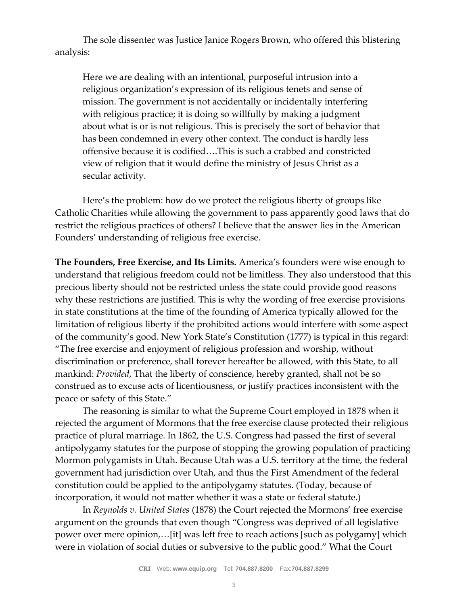The sole dissenter was Justice Janice Rogers Brown, who offered this blistering analysis:

Here we are dealing with an intentional, purposeful intrusion into a religious organization's expression of its religious tenets and sense of mission. The government is not accidentally or incidentally interfering with religious practice; it is doing so willfully by making a judgment about what is or is not religious. This is precisely the sort of behavior that has been condemned in every other context. The conduct is hardly less offensive because it is codified….This is such a crabbed and constricted view of religion that it would define the ministry of Jesus Christ as a secular activity.

Here's the problem: how do we protect the religious liberty of groups like Catholic Charities while allowing the government to pass apparently good laws that do restrict the religious practices of others? I believe that the answer lies in the American Founders' understanding of religious free exercise.

**The Founders, Free Exercise, and Its Limits.** America's founders were wise enough to understand that religious freedom could not be limitless. They also understood that this precious liberty should not be restricted unless the state could provide good reasons why these restrictions are justified. This is why the wording of free exercise provisions in state constitutions at the time of the founding of America typically allowed for the limitation of religious liberty if the prohibited actions would interfere with some aspect of the community's good. New York State's Constitution (1777) is typical in this regard: "The free exercise and enjoyment of religious profession and worship, without discrimination or preference, shall forever hereafter be allowed, with this State, to all mankind: *Provided*, That the liberty of conscience, hereby granted, shall not be so construed as to excuse acts of licentiousness, or justify practices inconsistent with the peace or safety of this State."

The reasoning is similar to what the Supreme Court employed in 1878 when it rejected the argument of Mormons that the free exercise clause protected their religious practice of plural marriage. In 1862, the U.S. Congress had passed the first of several antipolygamy statutes for the purpose of stopping the growing population of practicing Mormon polygamists in Utah. Because Utah was a U.S. territory at the time, the federal government had jurisdiction over Utah, and thus the First Amendment of the federal constitution could be applied to the antipolygamy statutes. (Today, because of incorporation, it would not matter whether it was a state or federal statute.)

In *Reynolds v. United States* (1878) the Court rejected the Mormons' free exercise argument on the grounds that even though "Congress was deprived of all legislative power over mere opinion,…[it] was left free to reach actions [such as polygamy] which were in violation of social duties or subversive to the public good." What the Court